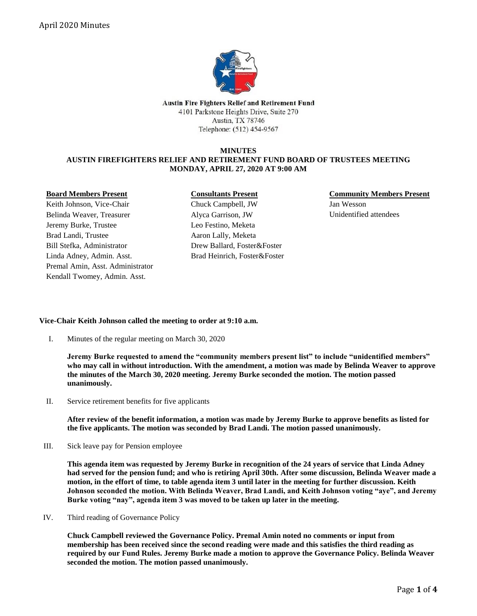

**Austin Fire Fighters Relief and Retirement Fund** 4101 Parkstone Heights Drive, Suite 270 Austin, TX 78746 Telephone: (512) 454-9567

### **MINUTES AUSTIN FIREFIGHTERS RELIEF AND RETIREMENT FUND BOARD OF TRUSTEES MEETING MONDAY, APRIL 27, 2020 AT 9:00 AM**

#### **Board Members Present**

Keith Johnson, Vice-Chair Belinda Weaver, Treasurer Jeremy Burke, Trustee Brad Landi, Trustee Bill Stefka, Administrator Linda Adney, Admin. Asst. Premal Amin, Asst. Administrator Kendall Twomey, Admin. Asst.

#### **Consultants Present**

Chuck Campbell, JW Alyca Garrison, JW Leo Festino, Meketa Aaron Lally, Meketa Drew Ballard, Foster&Foster Brad Heinrich, Foster&Foster **Community Members Present** Jan Wesson Unidentified attendees

# **Vice-Chair Keith Johnson called the meeting to order at 9:10 a.m.**

I. Minutes of the regular meeting on March 30, 2020

**Jeremy Burke requested to amend the "community members present list" to include "unidentified members" who may call in without introduction. With the amendment, a motion was made by Belinda Weaver to approve the minutes of the March 30, 2020 meeting. Jeremy Burke seconded the motion. The motion passed unanimously.**

II. Service retirement benefits for five applicants

**After review of the benefit information, a motion was made by Jeremy Burke to approve benefits as listed for the five applicants. The motion was seconded by Brad Landi. The motion passed unanimously.**

III. Sick leave pay for Pension employee

**This agenda item was requested by Jeremy Burke in recognition of the 24 years of service that Linda Adney had served for the pension fund; and who is retiring April 30th. After some discussion, Belinda Weaver made a motion, in the effort of time, to table agenda item 3 until later in the meeting for further discussion. Keith Johnson seconded the motion. With Belinda Weaver, Brad Landi, and Keith Johnson voting "aye", and Jeremy Burke voting "nay", agenda item 3 was moved to be taken up later in the meeting.**

IV. Third reading of Governance Policy

**Chuck Campbell reviewed the Governance Policy. Premal Amin noted no comments or input from membership has been received since the second reading were made and this satisfies the third reading as required by our Fund Rules. Jeremy Burke made a motion to approve the Governance Policy. Belinda Weaver seconded the motion. The motion passed unanimously.**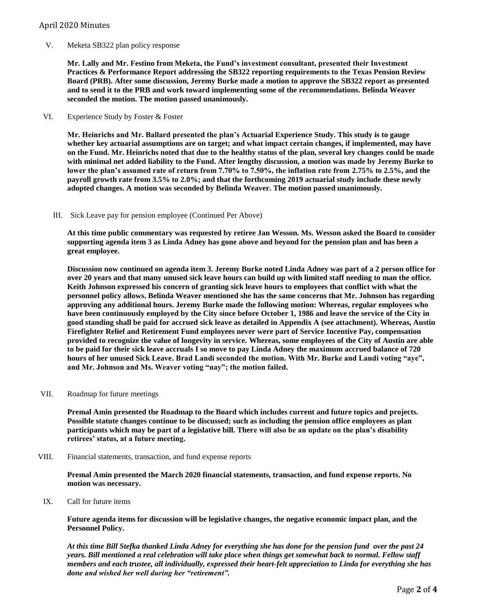## April 2020 Minutes

V. Meketa SB322 plan policy response

**Mr. Lally and Mr. Festino from Meketa, the Fund's investment consultant, presented their Investment Practices & Performance Report addressing the SB322 reporting requirements to the Texas Pension Review Board (PRB). After some discussion, Jeremy Burke made a motion to approve the SB322 report as presented and to send it to the PRB and work toward implementing some of the recommendations. Belinda Weaver seconded the motion. The motion passed unanimously.**

VI. Experience Study by Foster & Foster

**Mr. Heinrichs and Mr. Ballard presented the plan's Actuarial Experience Study. This study is to gauge whether key actuarial assumptions are on target; and what impact certain changes, if implemented, may have on the Fund. Mr. Heinrichs noted that due to the healthy status of the plan, several key changes could be made with minimal net added liability to the Fund. After lengthy discussion, a motion was made by Jeremy Burke to lower the plan's assumed rate of return from 7.70% to 7.50%, the inflation rate from 2.75% to 2.5%, and the payroll growth rate from 3.5% to 2.0%; and that the forthcoming 2019 actuarial study include these newly adopted changes. A motion was seconded by Belinda Weaver. The motion passed unanimously.**

III. Sick Leave pay for pension employee (Continued Per Above)

**At this time public commentary was requested by retiree Jan Wesson. Ms. Wesson asked the Board to consider supporting agenda item 3 as Linda Adney has gone above and beyond for the pension plan and has been a great employee.**

**Discussion now continued on agenda item 3. Jeremy Burke noted Linda Adney was part of a 2 person office for over 20 years and that many unused sick leave hours can build up with limited staff needing to man the office. Keith Johnson expressed his concern of granting sick leave hours to employees that conflict with what the personnel policy allows. Belinda Weaver mentioned she has the same concerns that Mr. Johnson has regarding approving any additional hours. Jeremy Burke made the following motion: Whereas, regular employees who have been continuously employed by the City since before October 1, 1986 and leave the service of the City in good standing shall be paid for accrued sick leave as detailed in Appendix A (see attachment). Whereas, Austin Firefighter Relief and Retirement Fund employees never were part of Service Incentive Pay, compensation provided to recognize the value of longevity in service. Whereas, some employees of the City of Austin are able to be paid for their sick leave accruals I so move to pay Linda Adney the maximum accrued balance of 720 hours of her unused Sick Leave. Brad Landi seconded the motion. With Mr. Burke and Landi voting "aye", and Mr. Johnson and Ms. Weaver voting "nay"; the motion failed.**

VII. Roadmap for future meetings

**Premal Amin presented the Roadmap to the Board which includes current and future topics and projects. Possible statute changes continue to be discussed; such as including the pension office employees as plan participants which may be part of a legislative bill. There will also be an update on the plan's disability retirees' status, at a future meeting.**

VIII. Financial statements, transaction, and fund expense reports

**Premal Amin presented the March 2020 financial statements, transaction, and fund expense reports. No motion was necessary.**

IX. Call for future items

**Future agenda items for discussion will be legislative changes, the negative economic impact plan, and the Personnel Policy.**

*At this time Bill Stefka thanked Linda Adney for everything she has done for the pension fund over the past 24 years. Bill mentioned a real celebration will take place when things get somewhat back to normal. Fellow staff members and each trustee, all individually, expressed their heart-felt appreciation to Linda for everything she has done and wished her well during her "retirement".*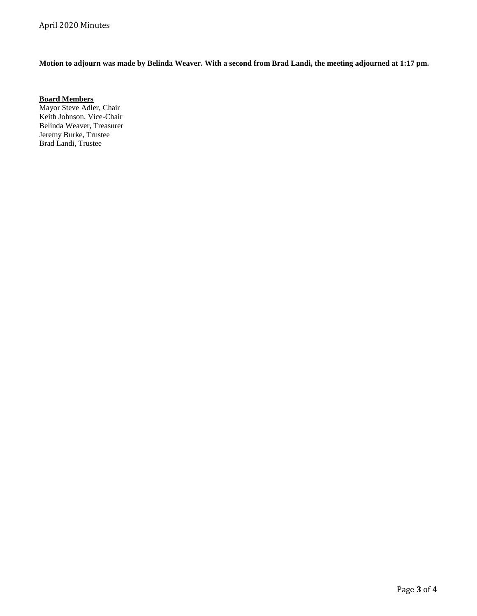**Motion to adjourn was made by Belinda Weaver. With a second from Brad Landi, the meeting adjourned at 1:17 pm.** 

**Board Members** Mayor Steve Adler, Chair Keith Johnson, Vice-Chair Belinda Weaver, Treasurer

Jeremy Burke, Trustee Brad Landi, Trustee